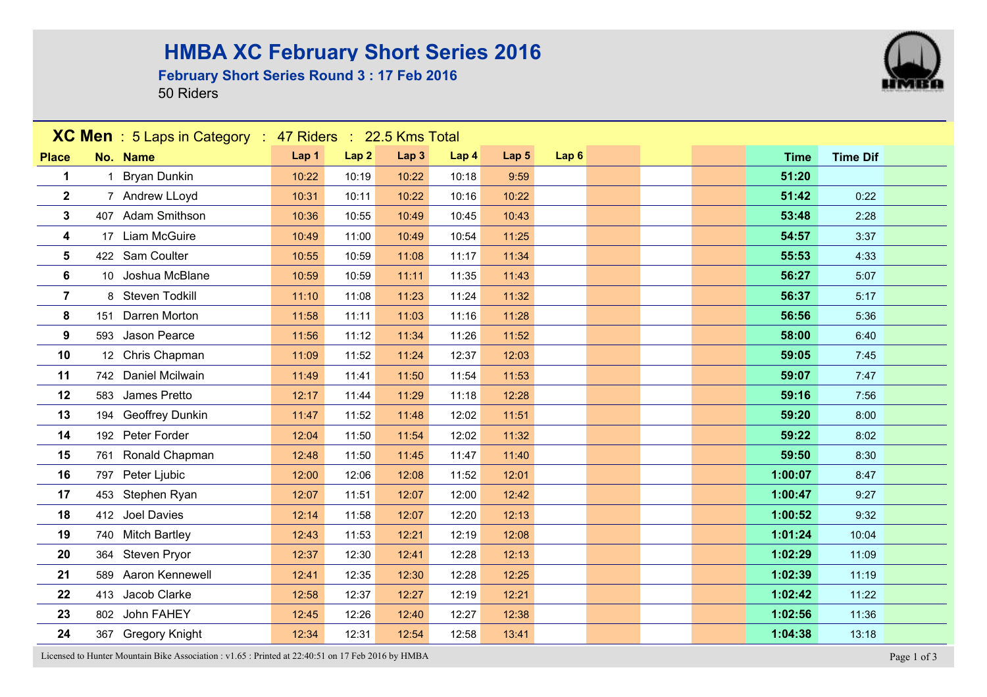## **HMBA XC February Short Series 2016**

#### **February Short Series Round 3 : 17 Feb 2016**

50 Riders



Licensed to Hunter Mountain Bike Association : v1.65 : Printed at 22:40:51 on 17 Feb 2016 by HMBA Page 1 of 3

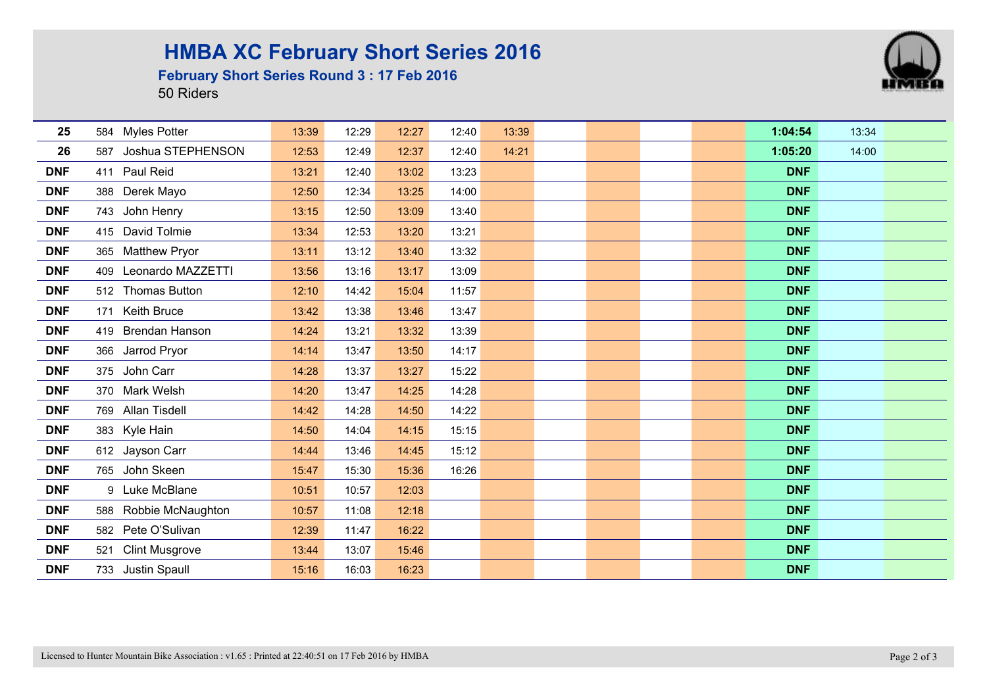## **HMBA XC February Short Series 2016**

#### **February Short Series Round 3 : 17 Feb 2016**

50 Riders